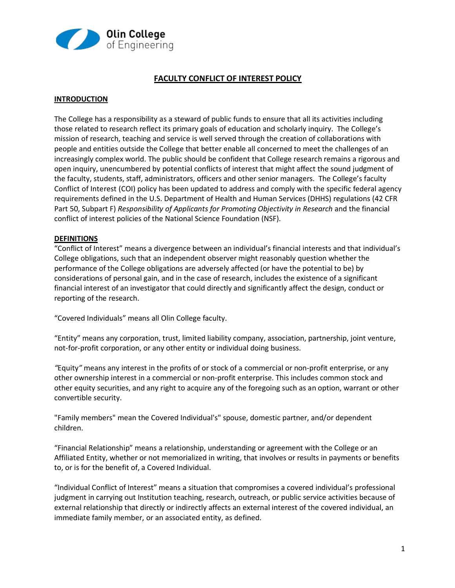

# **FACULTY CONFLICT OF INTEREST POLICY**

#### **INTRODUCTION**

The College has a responsibility as a steward of public funds to ensure that all its activities including those related to research reflect its primary goals of education and scholarly inquiry. The College's mission of research, teaching and service is well served through the creation of collaborations with people and entities outside the College that better enable all concerned to meet the challenges of an increasingly complex world. The public should be confident that College research remains a rigorous and open inquiry, unencumbered by potential conflicts of interest that might affect the sound judgment of the faculty, students, staff, administrators, officers and other senior managers. The College's faculty Conflict of Interest (COI) policy has been updated to address and comply with the specific federal agency requirements defined in the U.S. Department of Health and Human Services (DHHS) regulations (42 CFR Part 50, Subpart F) *Responsibility of Applicants for Promoting Objectivity in Research* and the financial conflict of interest policies of the National Science Foundation (NSF).

#### **DEFINITIONS**

"Conflict of Interest" means a divergence between an individual's financial interests and that individual's College obligations, such that an independent observer might reasonably question whether the performance of the College obligations are adversely affected (or have the potential to be) by considerations of personal gain, and in the case of research, includes the existence of a significant financial interest of an investigator that could directly and significantly affect the design, conduct or reporting of the research.

"Covered Individuals" means all Olin College faculty.

"Entity" means any corporation, trust, limited liability company, association, partnership, joint venture, not-for-profit corporation, or any other entity or individual doing business.

*"*Equity*"* means any interest in the profits of or stock of a commercial or non-profit enterprise, or any other ownership interest in a commercial or non-profit enterprise. This includes common stock and other equity securities, and any right to acquire any of the foregoing such as an option, warrant or other convertible security.

"Family members" mean the Covered Individual's" spouse, domestic partner, and/or dependent children.

"Financial Relationship" means a relationship, understanding or agreement with the College or an Affiliated Entity, whether or not memorialized in writing, that involves or results in payments or benefits to, or is for the benefit of, a Covered Individual.

"Individual Conflict of Interest" means a situation that compromises a covered individual's professional judgment in carrying out Institution teaching, research, outreach, or public service activities because of external relationship that directly or indirectly affects an external interest of the covered individual, an immediate family member, or an associated entity, as defined.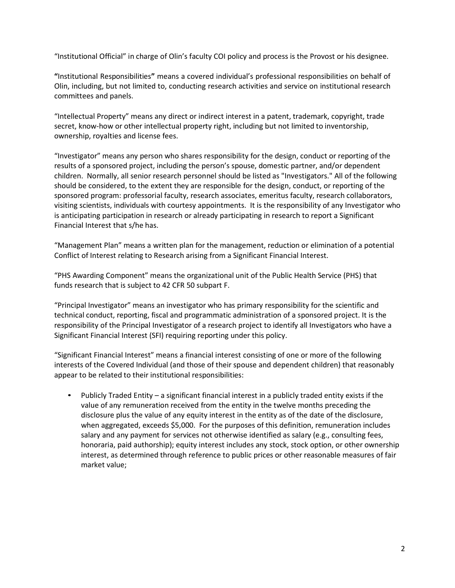"Institutional Official" in charge of Olin's faculty COI policy and process is the Provost or his designee.

**"**Institutional Responsibilities**"** means a covered individual's professional responsibilities on behalf of Olin, including, but not limited to, conducting research activities and service on institutional research committees and panels.

"Intellectual Property" means any direct or indirect interest in a patent, trademark, copyright, trade secret, know-how or other intellectual property right, including but not limited to inventorship, ownership, royalties and license fees.

"Investigator" means any person who shares responsibility for the design, conduct or reporting of the results of a sponsored project, including the person's spouse, domestic partner, and/or dependent children. Normally, all senior research personnel should be listed as "Investigators." All of the following should be considered, to the extent they are responsible for the design, conduct, or reporting of the sponsored program: professorial faculty, research associates, emeritus faculty, research collaborators, visiting scientists, individuals with courtesy appointments. It is the responsibility of any Investigator who is anticipating participation in research or already participating in research to report a Significant Financial Interest that s/he has.

"Management Plan" means a written plan for the management, reduction or elimination of a potential Conflict of Interest relating to Research arising from a Significant Financial Interest.

"PHS Awarding Component" means the organizational unit of the Public Health Service (PHS) that funds research that is subject to 42 CFR 50 subpart F.

"Principal Investigator" means an investigator who has primary responsibility for the scientific and technical conduct, reporting, fiscal and programmatic administration of a sponsored project. It is the responsibility of the Principal Investigator of a research project to identify all Investigators who have a Significant Financial Interest (SFI) requiring reporting under this policy.

"Significant Financial Interest" means a financial interest consisting of one or more of the following interests of the Covered Individual (and those of their spouse and dependent children) that reasonably appear to be related to their institutional responsibilities:

• Publicly Traded Entity – a significant financial interest in a publicly traded entity exists if the value of any remuneration received from the entity in the twelve months preceding the disclosure plus the value of any equity interest in the entity as of the date of the disclosure, when aggregated, exceeds \$5,000. For the purposes of this definition, remuneration includes salary and any payment for services not otherwise identified as salary (e.g., consulting fees, honoraria, paid authorship); equity interest includes any stock, stock option, or other ownership interest, as determined through reference to public prices or other reasonable measures of fair market value;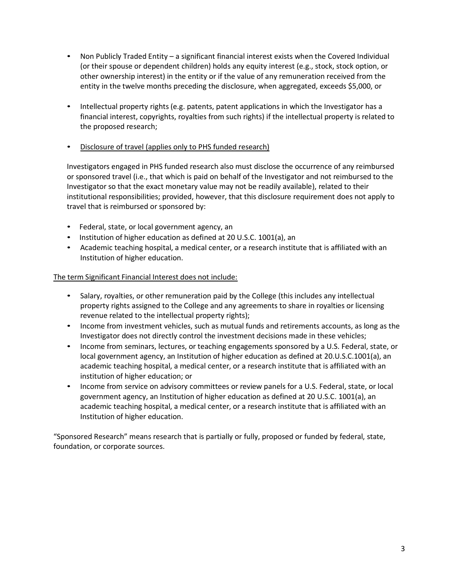- Non Publicly Traded Entity a significant financial interest exists when the Covered Individual (or their spouse or dependent children) holds any equity interest (e.g., stock, stock option, or other ownership interest) in the entity or if the value of any remuneration received from the entity in the twelve months preceding the disclosure, when aggregated, exceeds \$5,000, or
- Intellectual property rights (e.g. patents, patent applications in which the Investigator has a financial interest, copyrights, royalties from such rights) if the intellectual property is related to the proposed research;
- Disclosure of travel (applies only to PHS funded research)

Investigators engaged in PHS funded research also must disclose the occurrence of any reimbursed or sponsored travel (i.e., that which is paid on behalf of the Investigator and not reimbursed to the Investigator so that the exact monetary value may not be readily available), related to their institutional responsibilities; provided, however, that this disclosure requirement does not apply to travel that is reimbursed or sponsored by:

- Federal, state, or local government agency, an
- Institution of higher education as defined at 20 U.S.C. 1001(a), an
- Academic teaching hospital, a medical center, or a research institute that is affiliated with an Institution of higher education.

The term Significant Financial Interest does not include:

- Salary, royalties, or other remuneration paid by the College (this includes any intellectual property rights assigned to the College and any agreements to share in royalties or licensing revenue related to the intellectual property rights);
- Income from investment vehicles, such as mutual funds and retirements accounts, as long as the Investigator does not directly control the investment decisions made in these vehicles;
- Income from seminars, lectures, or teaching engagements sponsored by a U.S. Federal, state, or local government agency, an Institution of higher education as defined at 20.U.S.C.1001(a), an academic teaching hospital, a medical center, or a research institute that is affiliated with an institution of higher education; or
- Income from service on advisory committees or review panels for a U.S. Federal, state, or local government agency, an Institution of higher education as defined at 20 U.S.C. 1001(a), an academic teaching hospital, a medical center, or a research institute that is affiliated with an Institution of higher education.

"Sponsored Research" means research that is partially or fully, proposed or funded by federal, state, foundation, or corporate sources.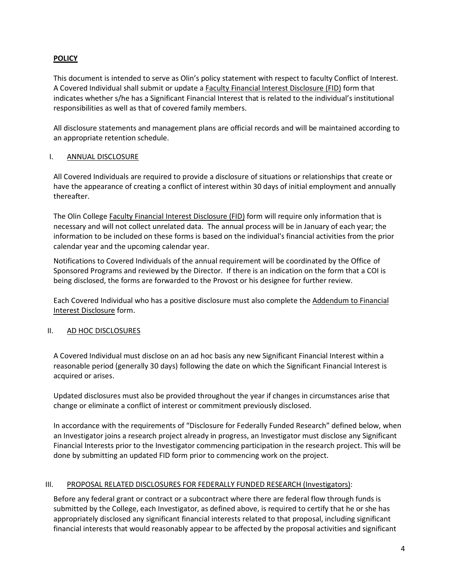# **POLICY**

This document is intended to serve as Olin's policy statement with respect to faculty Conflict of Interest. A Covered Individual shall submit or update a Faculty Financial Interest Disclosure (FID) form that indicates whether s/he has a Significant Financial Interest that is related to the individual's institutional responsibilities as well as that of covered family members.

All disclosure statements and management plans are official records and will be maintained according to an appropriate retention schedule.

### I. ANNUAL DISCLOSURE

All Covered Individuals are required to provide a disclosure of situations or relationships that create or have the appearance of creating a conflict of interest within 30 days of initial employment and annually thereafter.

The Olin College Faculty Financial Interest Disclosure (FID) form will require only information that is necessary and will not collect unrelated data. The annual process will be in January of each year; the information to be included on these forms is based on the individual's financial activities from the prior calendar year and the upcoming calendar year.

Notifications to Covered Individuals of the annual requirement will be coordinated by the Office of Sponsored Programs and reviewed by the Director. If there is an indication on the form that a COI is being disclosed, the forms are forwarded to the Provost or his designee for further review.

Each Covered Individual who has a positive disclosure must also complete the Addendum to Financial Interest Disclosure form.

# II. AD HOC DISCLOSURES

A Covered Individual must disclose on an ad hoc basis any new Significant Financial Interest within a reasonable period (generally 30 days) following the date on which the Significant Financial Interest is acquired or arises.

Updated disclosures must also be provided throughout the year if changes in circumstances arise that change or eliminate a conflict of interest or commitment previously disclosed.

In accordance with the requirements of "Disclosure for Federally Funded Research" defined below, when an Investigator joins a research project already in progress, an Investigator must disclose any Significant Financial Interests prior to the Investigator commencing participation in the research project. This will be done by submitting an updated FID form prior to commencing work on the project.

### III. PROPOSAL RELATED DISCLOSURES FOR FEDERALLY FUNDED RESEARCH (Investigators):

Before any federal grant or contract or a subcontract where there are federal flow through funds is submitted by the College, each Investigator, as defined above, is required to certify that he or she has appropriately disclosed any significant financial interests related to that proposal, including significant financial interests that would reasonably appear to be affected by the proposal activities and significant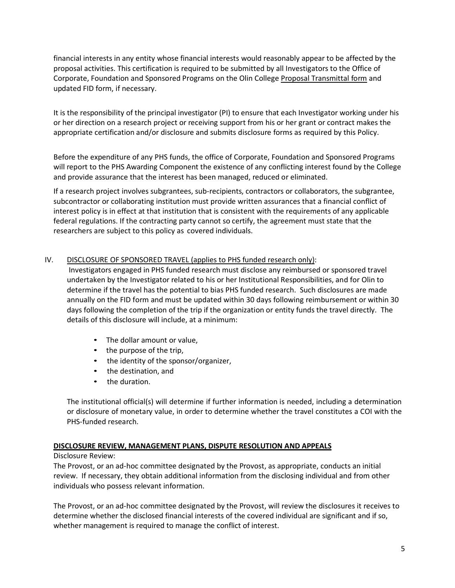financial interests in any entity whose financial interests would reasonably appear to be affected by the proposal activities. This certification is required to be submitted by all Investigators to the Office of Corporate, Foundation and Sponsored Programs on the Olin College Proposal Transmittal form and updated FID form, if necessary.

It is the responsibility of the principal investigator (PI) to ensure that each Investigator working under his or her direction on a research project or receiving support from his or her grant or contract makes the appropriate certification and/or disclosure and submits disclosure forms as required by this Policy.

Before the expenditure of any PHS funds, the office of Corporate, Foundation and Sponsored Programs will report to the PHS Awarding Component the existence of any conflicting interest found by the College and provide assurance that the interest has been managed, reduced or eliminated.

If a research project involves subgrantees, sub-recipients, contractors or collaborators, the subgrantee, subcontractor or collaborating institution must provide written assurances that a financial conflict of interest policy is in effect at that institution that is consistent with the requirements of any applicable federal regulations. If the contracting party cannot so certify, the agreement must state that the researchers are subject to this policy as covered individuals.

# IV. DISCLOSURE OF SPONSORED TRAVEL (applies to PHS funded research only):

Investigators engaged in PHS funded research must disclose any reimbursed or sponsored travel undertaken by the Investigator related to his or her Institutional Responsibilities, and for Olin to determine if the travel has the potential to bias PHS funded research. Such disclosures are made annually on the FID form and must be updated within 30 days following reimbursement or within 30 days following the completion of the trip if the organization or entity funds the travel directly. The details of this disclosure will include, at a minimum:

- The dollar amount or value,
- the purpose of the trip,
- the identity of the sponsor/organizer,
- the destination, and
- the duration.

The institutional official(s) will determine if further information is needed, including a determination or disclosure of monetary value, in order to determine whether the travel constitutes a COI with the PHS-funded research.

### **DISCLOSURE REVIEW, MANAGEMENT PLANS, DISPUTE RESOLUTION AND APPEALS**

### Disclosure Review:

The Provost, or an ad-hoc committee designated by the Provost, as appropriate, conducts an initial review. If necessary, they obtain additional information from the disclosing individual and from other individuals who possess relevant information.

The Provost, or an ad-hoc committee designated by the Provost, will review the disclosures it receives to determine whether the disclosed financial interests of the covered individual are significant and if so, whether management is required to manage the conflict of interest.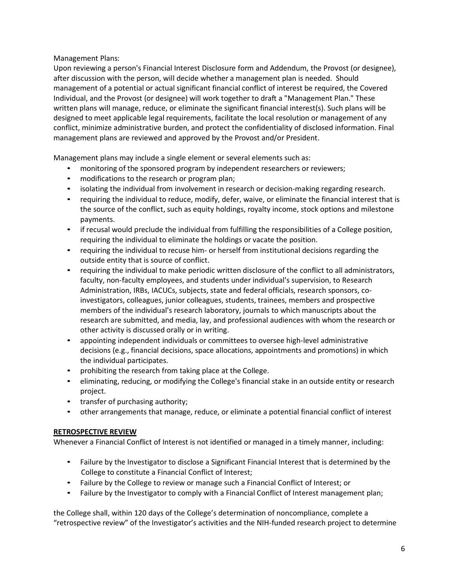Management Plans:

Upon reviewing a person's Financial Interest Disclosure form and Addendum, the Provost (or designee), after discussion with the person, will decide whether a management plan is needed. Should management of a potential or actual significant financial conflict of interest be required, the Covered Individual, and the Provost (or designee) will work together to draft a "Management Plan." These written plans will manage, reduce, or eliminate the significant financial interest(s). Such plans will be designed to meet applicable legal requirements, facilitate the local resolution or management of any conflict, minimize administrative burden, and protect the confidentiality of disclosed information. Final management plans are reviewed and approved by the Provost and/or President.

Management plans may include a single element or several elements such as:

- monitoring of the sponsored program by independent researchers or reviewers;
- modifications to the research or program plan;
- isolating the individual from involvement in research or decision-making regarding research.
- requiring the individual to reduce, modify, defer, waive, or eliminate the financial interest that is the source of the conflict, such as equity holdings, royalty income, stock options and milestone payments.
- if recusal would preclude the individual from fulfilling the responsibilities of a College position, requiring the individual to eliminate the holdings or vacate the position.
- requiring the individual to recuse him- or herself from institutional decisions regarding the outside entity that is source of conflict.
- requiring the individual to make periodic written disclosure of the conflict to all administrators, faculty, non-faculty employees, and students under individual's supervision, to Research Administration, IRBs, IACUCs, subjects, state and federal officials, research sponsors, coinvestigators, colleagues, junior colleagues, students, trainees, members and prospective members of the individual's research laboratory, journals to which manuscripts about the research are submitted, and media, lay, and professional audiences with whom the research or other activity is discussed orally or in writing.
- appointing independent individuals or committees to oversee high-level administrative decisions (e.g., financial decisions, space allocations, appointments and promotions) in which the individual participates.
- prohibiting the research from taking place at the College.
- eliminating, reducing, or modifying the College's financial stake in an outside entity or research project.
- transfer of purchasing authority;
- other arrangements that manage, reduce, or eliminate a potential financial conflict of interest

# **RETROSPECTIVE REVIEW**

Whenever a Financial Conflict of Interest is not identified or managed in a timely manner, including:

- Failure by the Investigator to disclose a Significant Financial Interest that is determined by the College to constitute a Financial Conflict of Interest;
- Failure by the College to review or manage such a Financial Conflict of Interest; or
- Failure by the Investigator to comply with a Financial Conflict of Interest management plan;

the College shall, within 120 days of the College's determination of noncompliance, complete a "retrospective review" of the Investigator's activities and the NIH-funded research project to determine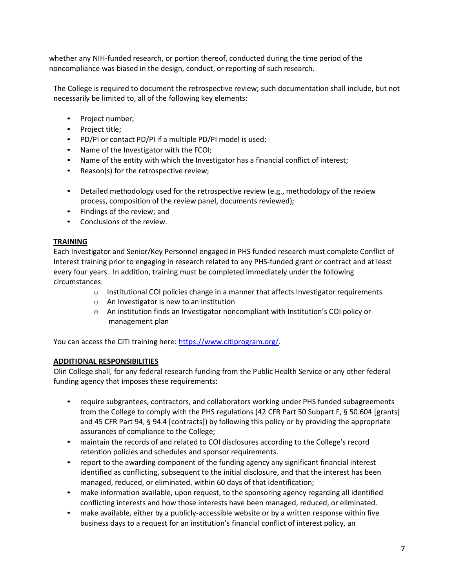whether any NIH-funded research, or portion thereof, conducted during the time period of the noncompliance was biased in the design, conduct, or reporting of such research.

The College is required to document the retrospective review; such documentation shall include, but not necessarily be limited to, all of the following key elements:

- Project number;
- Project title;
- PD/PI or contact PD/PI if a multiple PD/PI model is used;
- Name of the Investigator with the FCOI;
- Name of the entity with which the Investigator has a financial conflict of interest;
- Reason(s) for the retrospective review;
- Detailed methodology used for the retrospective review (e.g., methodology of the review process, composition of the review panel, documents reviewed);
- Findings of the review; and
- Conclusions of the review.

#### **TRAINING**

Each Investigator and Senior/Key Personnel engaged in PHS funded research must complete Conflict of Interest training prior to engaging in research related to any PHS-funded grant or contract and at least every four years. In addition, training must be completed immediately under the following circumstances:

- $\circ$  Institutional COI policies change in a manner that affects Investigator requirements
- o An Investigator is new to an institution
- o An institution finds an Investigator noncompliant with Institution's COI policy or management plan

You can access the CITI training here: https://www.citiprogram.org/.

### **ADDITIONAL RESPONSIBILITIES**

Olin College shall, for any federal research funding from the Public Health Service or any other federal funding agency that imposes these requirements:

- require subgrantees, contractors, and collaborators working under PHS funded subagreements from the College to comply with the PHS regulations (42 CFR Part 50 Subpart F, § 50.604 [grants] and 45 CFR Part 94, § 94.4 [contracts]) by following this policy or by providing the appropriate assurances of compliance to the College;
- maintain the records of and related to COI disclosures according to the College's record retention policies and schedules and sponsor requirements.
- report to the awarding component of the funding agency any significant financial interest identified as conflicting, subsequent to the initial disclosure, and that the interest has been managed, reduced, or eliminated, within 60 days of that identification;
- make information available, upon request, to the sponsoring agency regarding all identified conflicting interests and how those interests have been managed, reduced, or eliminated.
- make available, either by a publicly-accessible website or by a written response within five business days to a request for an institution's financial conflict of interest policy, an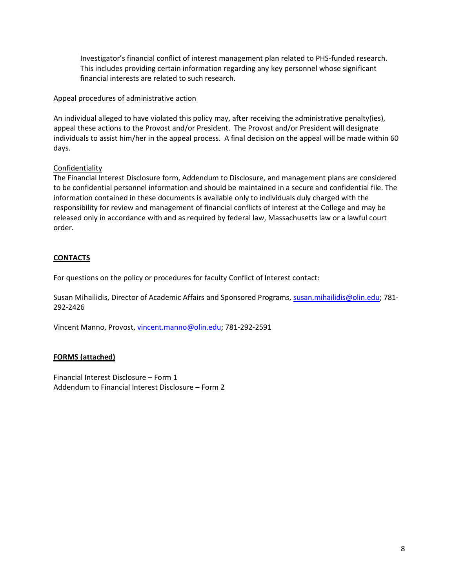Investigator's financial conflict of interest management plan related to PHS-funded research. This includes providing certain information regarding any key personnel whose significant financial interests are related to such research.

### Appeal procedures of administrative action

An individual alleged to have violated this policy may, after receiving the administrative penalty(ies), appeal these actions to the Provost and/or President. The Provost and/or President will designate individuals to assist him/her in the appeal process. A final decision on the appeal will be made within 60 days.

### Confidentiality

The Financial Interest Disclosure form, Addendum to Disclosure, and management plans are considered to be confidential personnel information and should be maintained in a secure and confidential file. The information contained in these documents is available only to individuals duly charged with the responsibility for review and management of financial conflicts of interest at the College and may be released only in accordance with and as required by federal law, Massachusetts law or a lawful court order.

# **CONTACTS**

For questions on the policy or procedures for faculty Conflict of Interest contact:

Susan Mihailidis, Director of Academic Affairs and Sponsored Programs, [susan.mihailidis@olin.edu;](mailto:susan.mihailidis@olin.edu) 781- 292-2426

Vincent Manno, Provost, [vincent.manno@olin.edu;](mailto:vincent.manno@olin.edu) 781-292-2591

# **FORMS (attached)**

Financial Interest Disclosure – Form 1 Addendum to Financial Interest Disclosure – Form 2